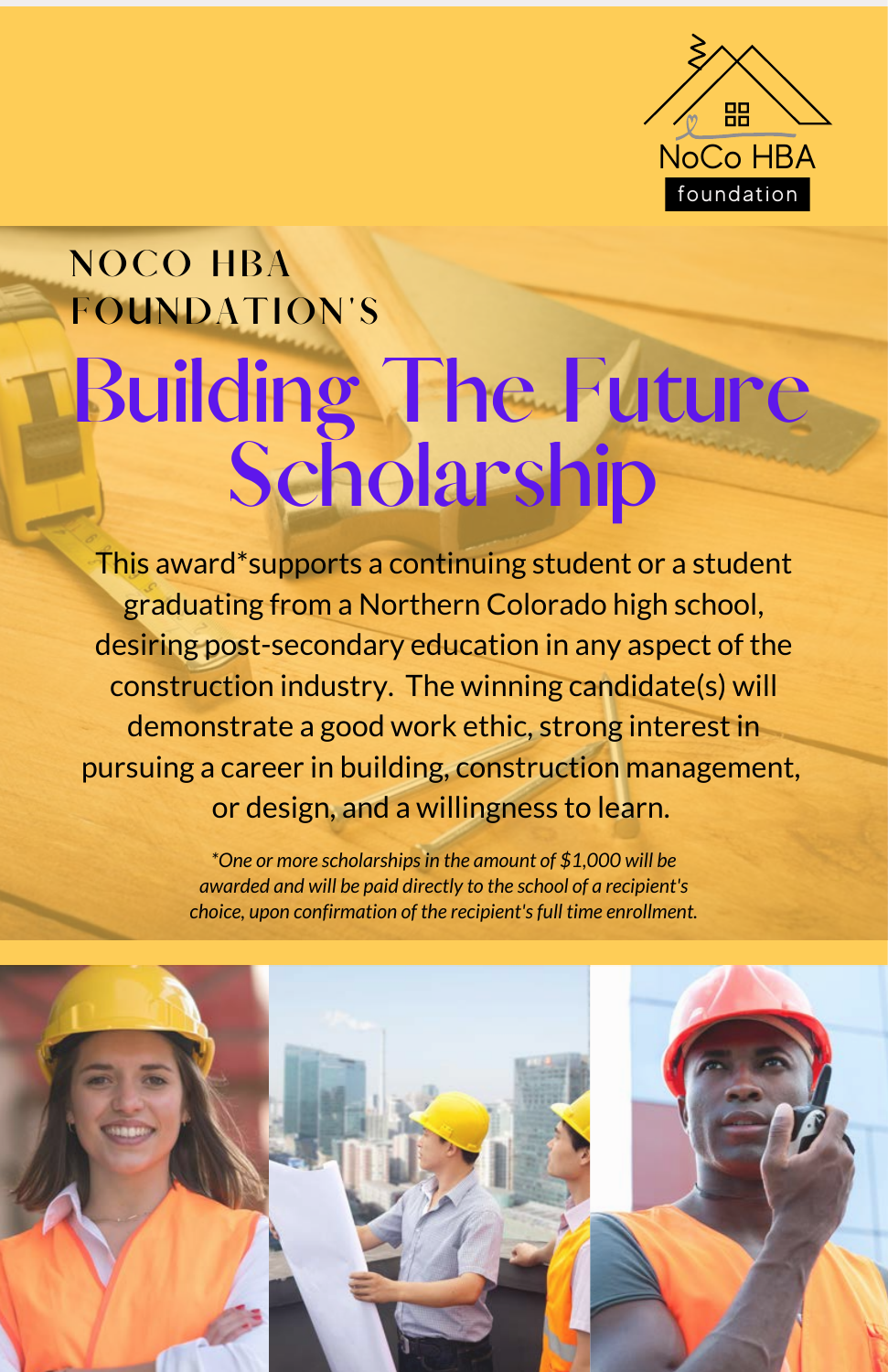

## **Building The Future Scholarship NOCO HBA FOUNDATION'S**

This award\*supports a continuing student or a student graduating from a Northern Colorado high school, desiring post-secondary education in any aspect of the construction industry. The winning candidate(s) will demonstrate a good work ethic, strong interest in pursuing a career in building, construction management, or design, and a willingness to learn.

> *\*One or more scholarships in the amount of \$1,000 will be awarded and will be paid directly to the school of a recipient's choice, upon confirmation of the recipient's full time enrollment.*